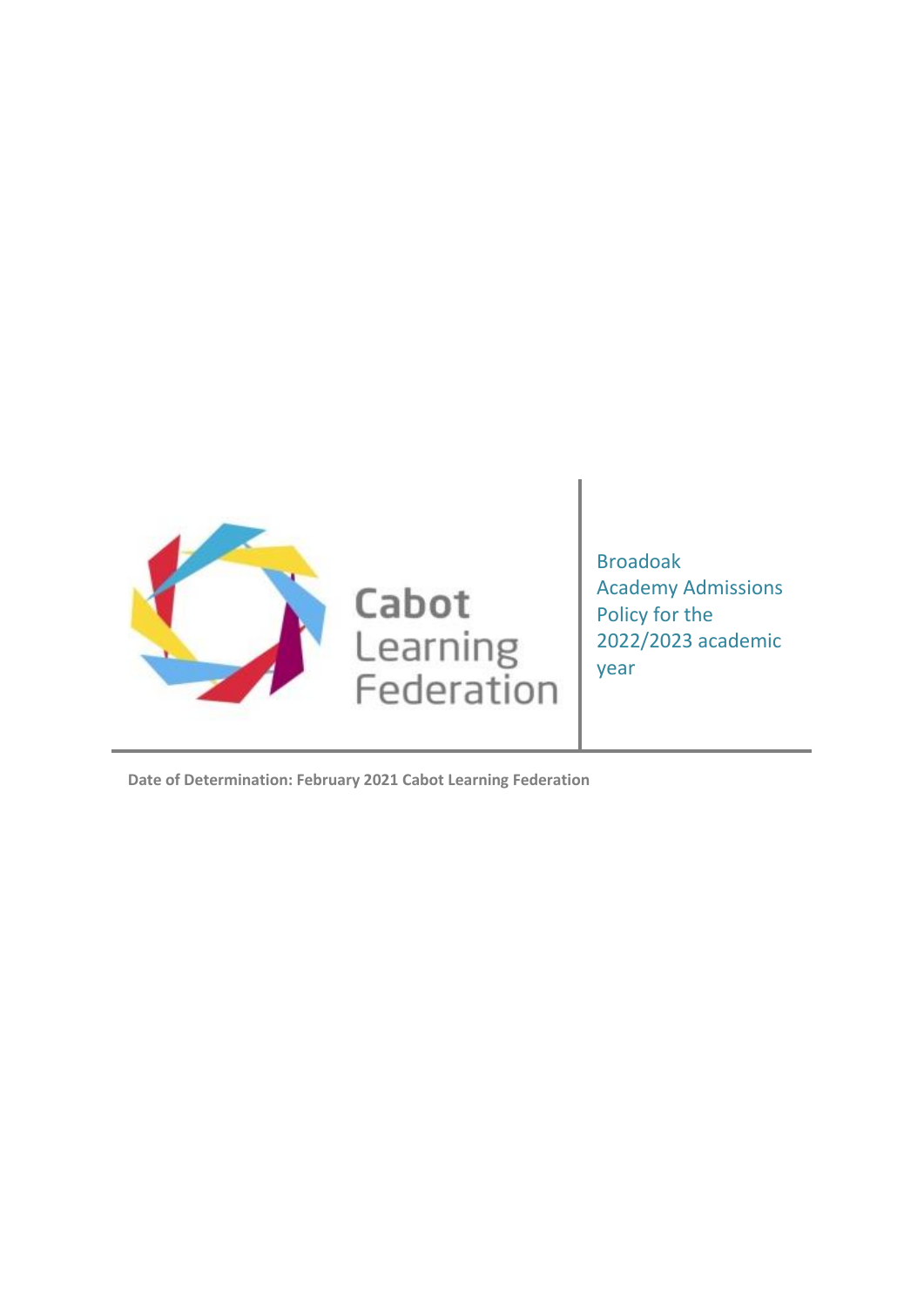

Broadoak Academy Admissions Policy for the 2022/2023 academic year

**Date of Determination: February 2021 Cabot Learning Federation**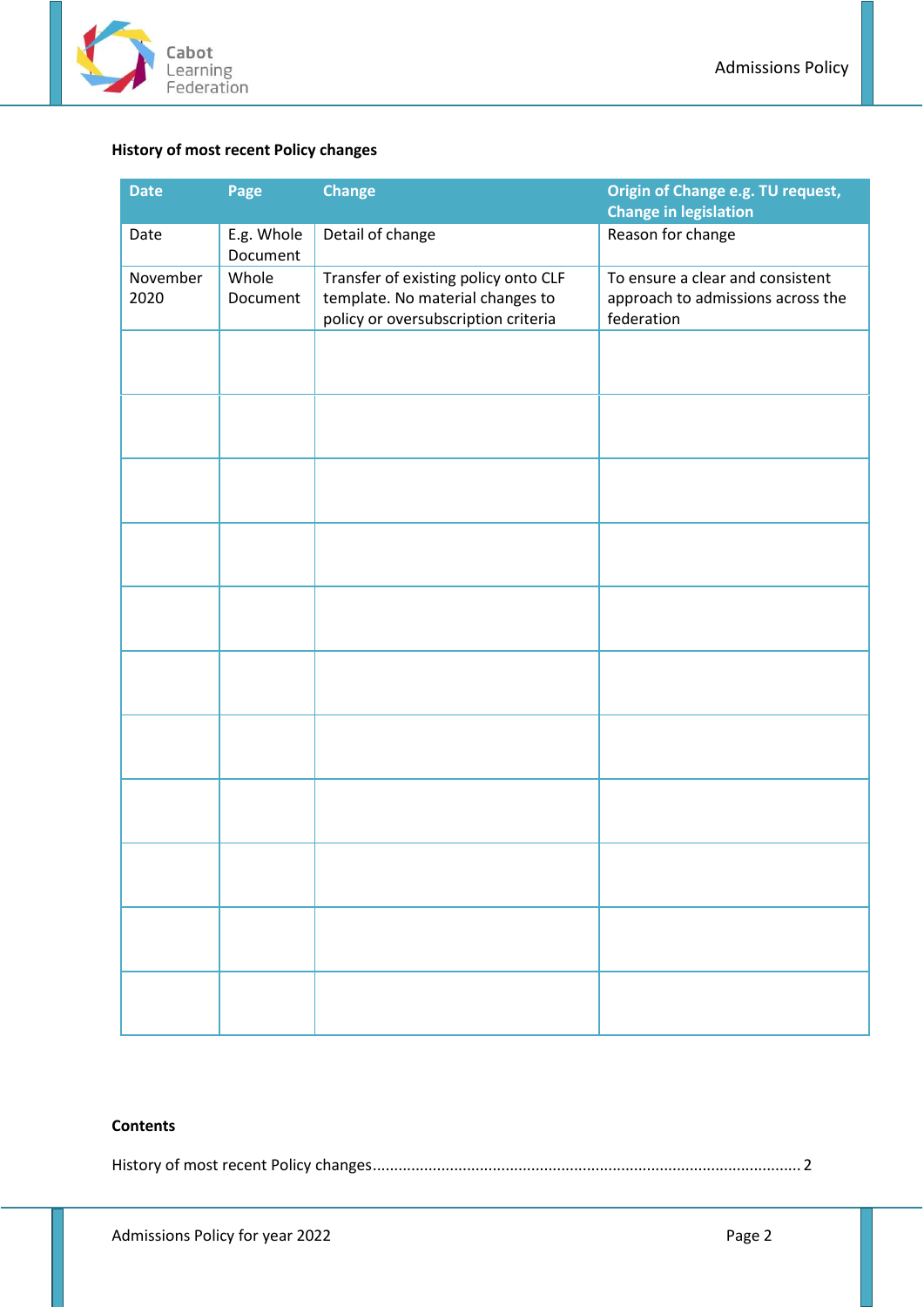

# <span id="page-1-0"></span>**History of most recent Policy changes**

| <b>Date</b>      | Page                   | <b>Change</b>                                                                                                   | Origin of Change e.g. TU request,<br><b>Change in legislation</b>                   |
|------------------|------------------------|-----------------------------------------------------------------------------------------------------------------|-------------------------------------------------------------------------------------|
| Date             | E.g. Whole<br>Document | Detail of change                                                                                                | Reason for change                                                                   |
| November<br>2020 | Whole<br>Document      | Transfer of existing policy onto CLF<br>template. No material changes to<br>policy or oversubscription criteria | To ensure a clear and consistent<br>approach to admissions across the<br>federation |
|                  |                        |                                                                                                                 |                                                                                     |
|                  |                        |                                                                                                                 |                                                                                     |
|                  |                        |                                                                                                                 |                                                                                     |
|                  |                        |                                                                                                                 |                                                                                     |
|                  |                        |                                                                                                                 |                                                                                     |
|                  |                        |                                                                                                                 |                                                                                     |
|                  |                        |                                                                                                                 |                                                                                     |
|                  |                        |                                                                                                                 |                                                                                     |
|                  |                        |                                                                                                                 |                                                                                     |
|                  |                        |                                                                                                                 |                                                                                     |
|                  |                        |                                                                                                                 |                                                                                     |

# <span id="page-1-1"></span>**Contents**

[History of most recent Policy changes....................................................................................................](#page-1-0) 2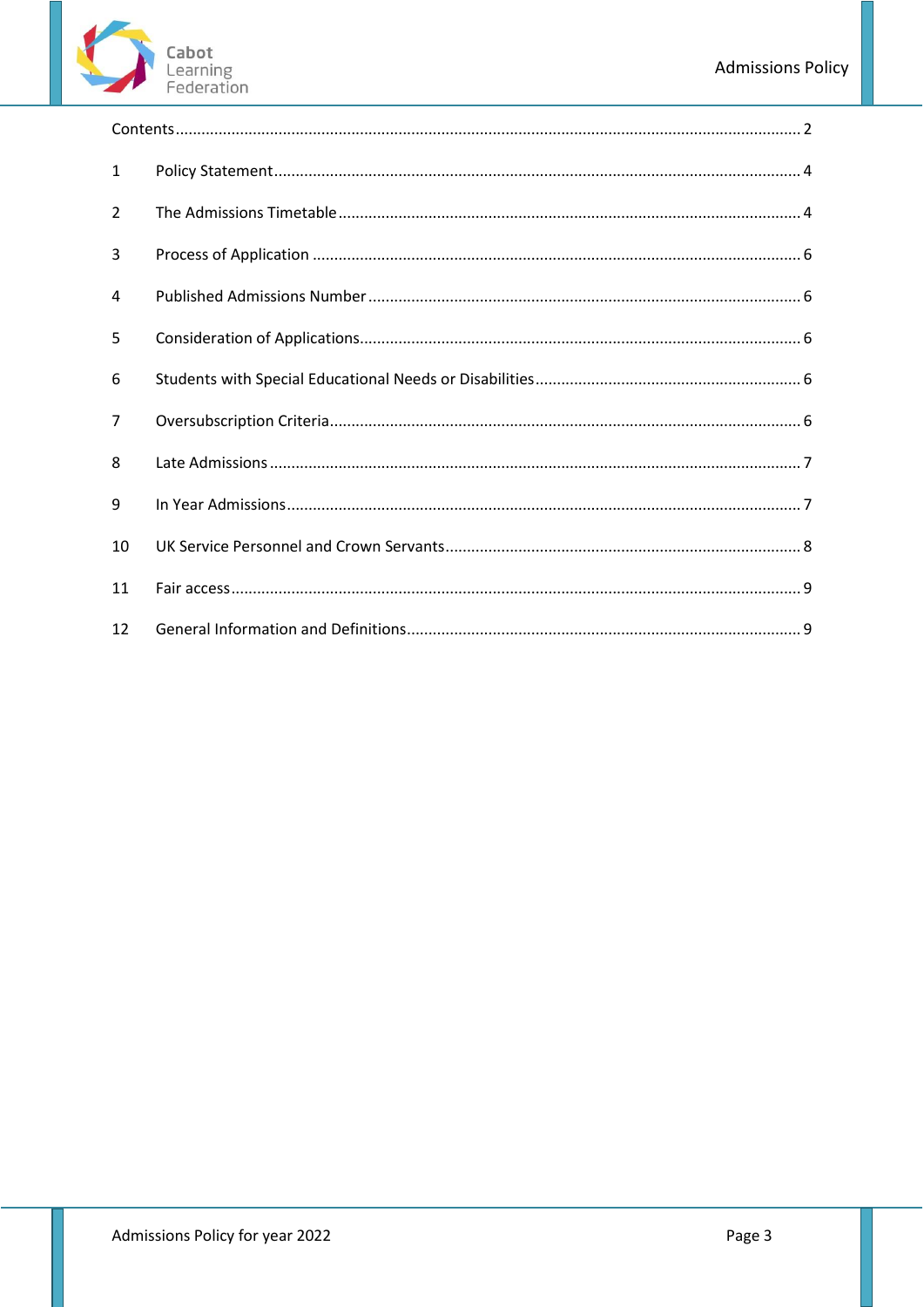

| $\mathbf{1}$   |  |  |  |  |
|----------------|--|--|--|--|
| 2              |  |  |  |  |
| 3              |  |  |  |  |
| 4              |  |  |  |  |
| 5              |  |  |  |  |
| 6              |  |  |  |  |
| $\overline{7}$ |  |  |  |  |
| 8              |  |  |  |  |
| 9              |  |  |  |  |
| 10             |  |  |  |  |
| 11             |  |  |  |  |
| 12             |  |  |  |  |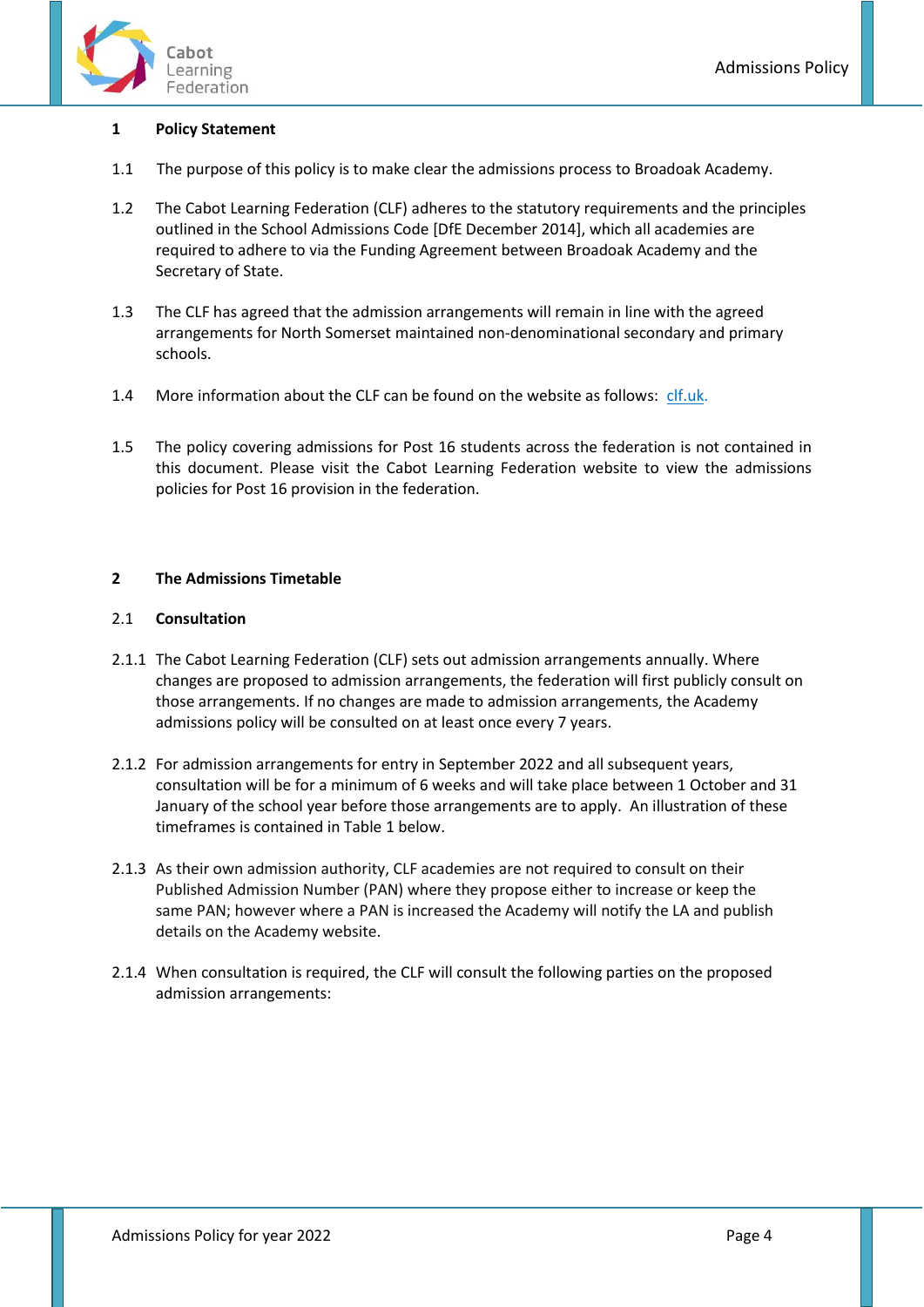

#### <span id="page-3-0"></span>**1 Policy Statement**

- 1.1 The purpose of this policy is to make clear the admissions process to Broadoak Academy.
- 1.2 The Cabot Learning Federation (CLF) adheres to the statutory requirements and the principles outlined in the School Admissions Code [DfE December 2014], which all academies are required to adhere to via the Funding Agreement between Broadoak Academy and the Secretary of State.
- 1.3 The CLF has agreed that the admission arrangements will remain in line with the agreed arrangements for North Somerset maintained non-denominational secondary and primary schools.
- 1.4 More information about the CLF can be found on the website as follows: [clf.uk.](http://www.cabotlearningfederation.net/)
- 1.5 The policy covering admissions for Post 16 students across the federation is not contained in this document. Please visit the Cabot Learning Federation website to view the admissions policies for Post 16 provision in the federation.

#### <span id="page-3-1"></span>**2 The Admissions Timetable**

#### 2.1 **Consultation**

- 2.1.1 The Cabot Learning Federation (CLF) sets out admission arrangements annually. Where changes are proposed to admission arrangements, the federation will first publicly consult on those arrangements. If no changes are made to admission arrangements, the Academy admissions policy will be consulted on at least once every 7 years.
- 2.1.2 For admission arrangements for entry in September 2022 and all subsequent years, consultation will be for a minimum of 6 weeks and will take place between 1 October and 31 January of the school year before those arrangements are to apply. An illustration of these timeframes is contained in Table 1 below.
- 2.1.3 As their own admission authority, CLF academies are not required to consult on their Published Admission Number (PAN) where they propose either to increase or keep the same PAN; however where a PAN is increased the Academy will notify the LA and publish details on the Academy website.
- 2.1.4 When consultation is required, the CLF will consult the following parties on the proposed admission arrangements: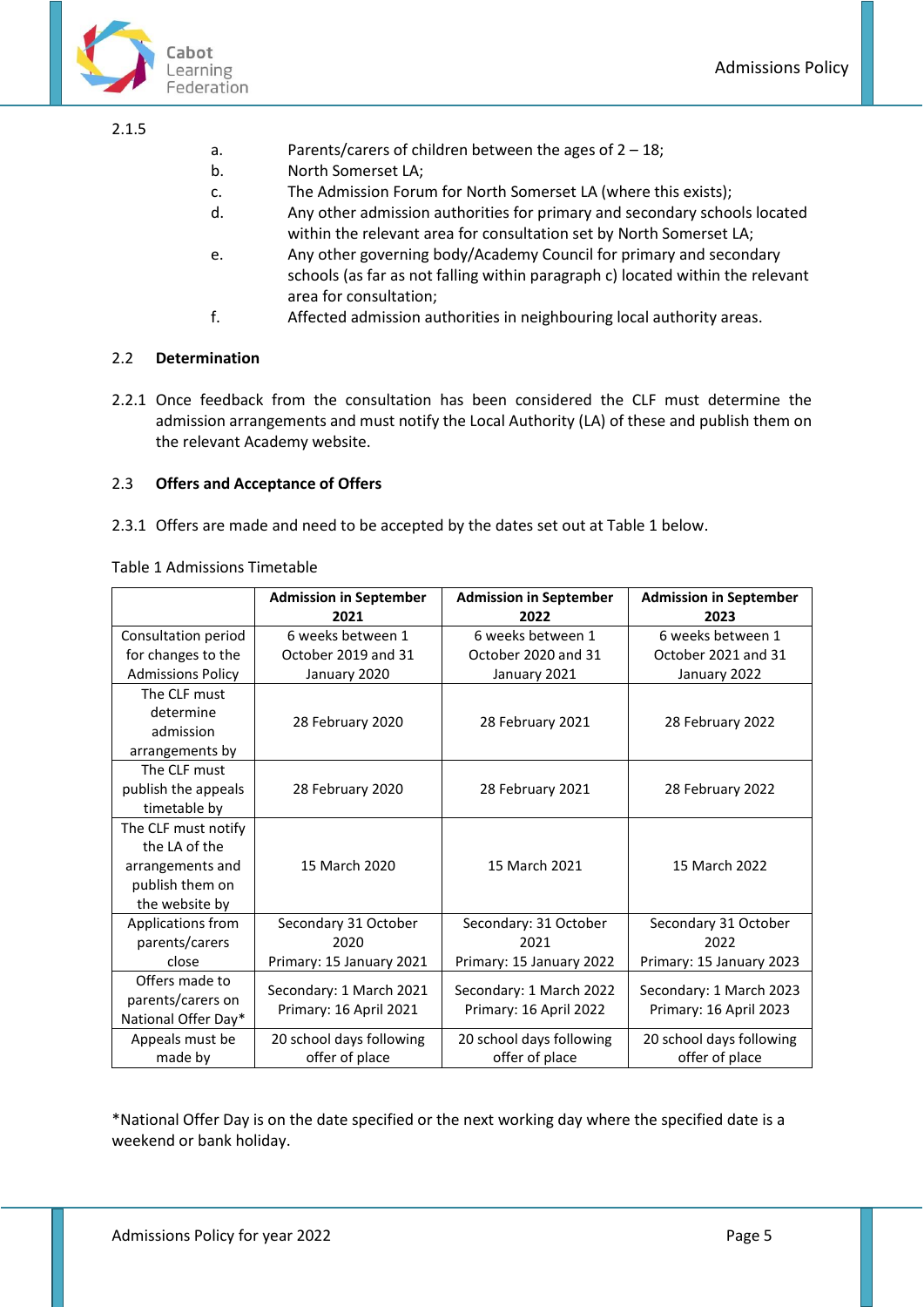

#### 2.1.5

- a. Parents/carers of children between the ages of 2 18;
- b. North Somerset LA;
- c. The Admission Forum for North Somerset LA (where this exists);
- d. Any other admission authorities for primary and secondary schools located within the relevant area for consultation set by North Somerset LA;
- e. Any other governing body/Academy Council for primary and secondary schools (as far as not falling within paragraph c) located within the relevant area for consultation;
- f. Affected admission authorities in neighbouring local authority areas.

# 2.2 **Determination**

2.2.1 Once feedback from the consultation has been considered the CLF must determine the admission arrangements and must notify the Local Authority (LA) of these and publish them on the relevant Academy website.

# 2.3 **Offers and Acceptance of Offers**

2.3.1 Offers are made and need to be accepted by the dates set out at Table 1 below.

Table 1 Admissions Timetable

|                          | <b>Admission in September</b><br>2021 | <b>Admission in September</b><br>2022 | <b>Admission in September</b><br>2023 |  |
|--------------------------|---------------------------------------|---------------------------------------|---------------------------------------|--|
| Consultation period      | 6 weeks between 1                     | 6 weeks between 1                     | 6 weeks between 1                     |  |
| for changes to the       | October 2019 and 31                   | October 2020 and 31                   | October 2021 and 31                   |  |
| <b>Admissions Policy</b> | January 2020                          | January 2021                          | January 2022                          |  |
| The CLF must             |                                       |                                       |                                       |  |
| determine                | 28 February 2020                      | 28 February 2021                      | 28 February 2022                      |  |
| admission                |                                       |                                       |                                       |  |
| arrangements by          |                                       |                                       |                                       |  |
| The CLF must             |                                       |                                       |                                       |  |
| publish the appeals      | 28 February 2020                      | 28 February 2021                      | 28 February 2022                      |  |
| timetable by             |                                       |                                       |                                       |  |
| The CLF must notify      |                                       |                                       |                                       |  |
| the LA of the            |                                       |                                       |                                       |  |
| arrangements and         | 15 March 2020                         | 15 March 2021                         | 15 March 2022                         |  |
| publish them on          |                                       |                                       |                                       |  |
| the website by           |                                       |                                       |                                       |  |
| Applications from        | Secondary 31 October                  | Secondary: 31 October                 | Secondary 31 October                  |  |
| parents/carers           | 2020                                  | 2021                                  | 2022                                  |  |
| close                    | Primary: 15 January 2021              | Primary: 15 January 2022              | Primary: 15 January 2023              |  |
| Offers made to           | Secondary: 1 March 2021               | Secondary: 1 March 2022               | Secondary: 1 March 2023               |  |
| parents/carers on        | Primary: 16 April 2021                | Primary: 16 April 2022                | Primary: 16 April 2023                |  |
| National Offer Day*      |                                       |                                       |                                       |  |
| Appeals must be          | 20 school days following              | 20 school days following              | 20 school days following              |  |
| made by                  | offer of place                        | offer of place                        | offer of place                        |  |

\*National Offer Day is on the date specified or the next working day where the specified date is a weekend or bank holiday.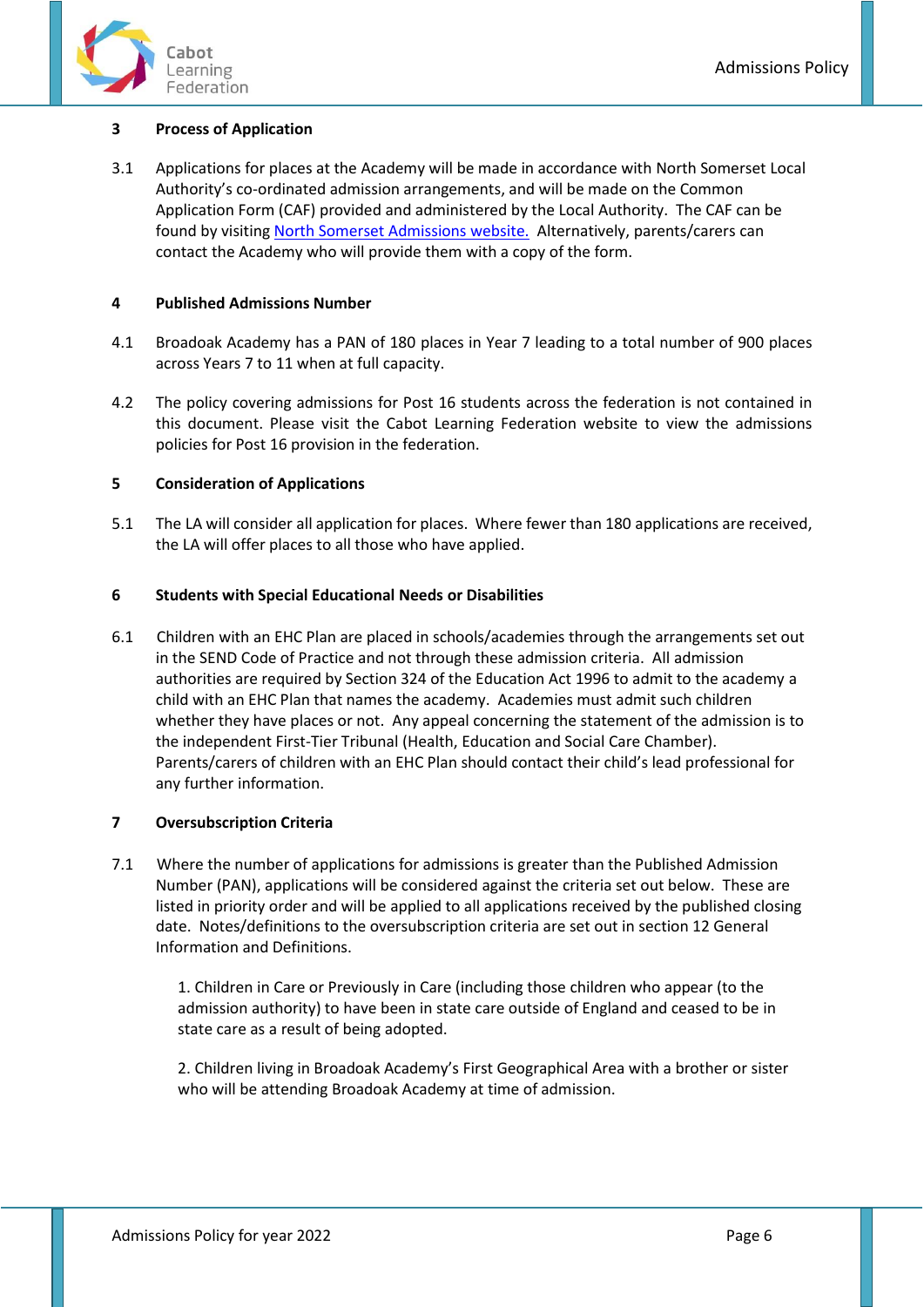

# <span id="page-5-0"></span>**3 Process of Application**

3.1 Applications for places at the Academy will be made in accordance with North Somerset Local Authority's co-ordinated admission arrangements, and will be made on the Common Application Form (CAF) provided and administered by the Local Authority. The CAF can be found by visitin[g North Somerset Admissions website.](https://www.n-somerset.gov.uk/my-services/schools-learning/school-admissions/applying-school-place) Alternatively, parents/carers can contact the Academy who will provide them with a copy of the form.

### <span id="page-5-1"></span>**4 Published Admissions Number**

- 4.1 Broadoak Academy has a PAN of 180 places in Year 7 leading to a total number of 900 places across Years 7 to 11 when at full capacity.
- 4.2 The policy covering admissions for Post 16 students across the federation is not contained in this document. Please visit the Cabot Learning Federation website to view the admissions policies for Post 16 provision in the federation.

### <span id="page-5-2"></span>**5 Consideration of Applications**

5.1 The LA will consider all application for places. Where fewer than 180 applications are received, the LA will offer places to all those who have applied.

### <span id="page-5-3"></span>**6 Students with Special Educational Needs or Disabilities**

6.1 Children with an EHC Plan are placed in schools/academies through the arrangements set out in the SEND Code of Practice and not through these admission criteria. All admission authorities are required by Section 324 of the Education Act 1996 to admit to the academy a child with an EHC Plan that names the academy. Academies must admit such children whether they have places or not. Any appeal concerning the statement of the admission is to the independent First-Tier Tribunal (Health, Education and Social Care Chamber). Parents/carers of children with an EHC Plan should contact their child's lead professional for any further information.

### <span id="page-5-4"></span>**7 Oversubscription Criteria**

7.1 Where the number of applications for admissions is greater than the Published Admission Number (PAN), applications will be considered against the criteria set out below. These are listed in priority order and will be applied to all applications received by the published closing date. Notes/definitions to the oversubscription criteria are set out in section 12 General Information and Definitions.

1. Children in Care or Previously in Care (including those children who appear (to the admission authority) to have been in state care outside of England and ceased to be in state care as a result of being adopted.

2. Children living in Broadoak Academy's First Geographical Area with a brother or sister who will be attending Broadoak Academy at time of admission.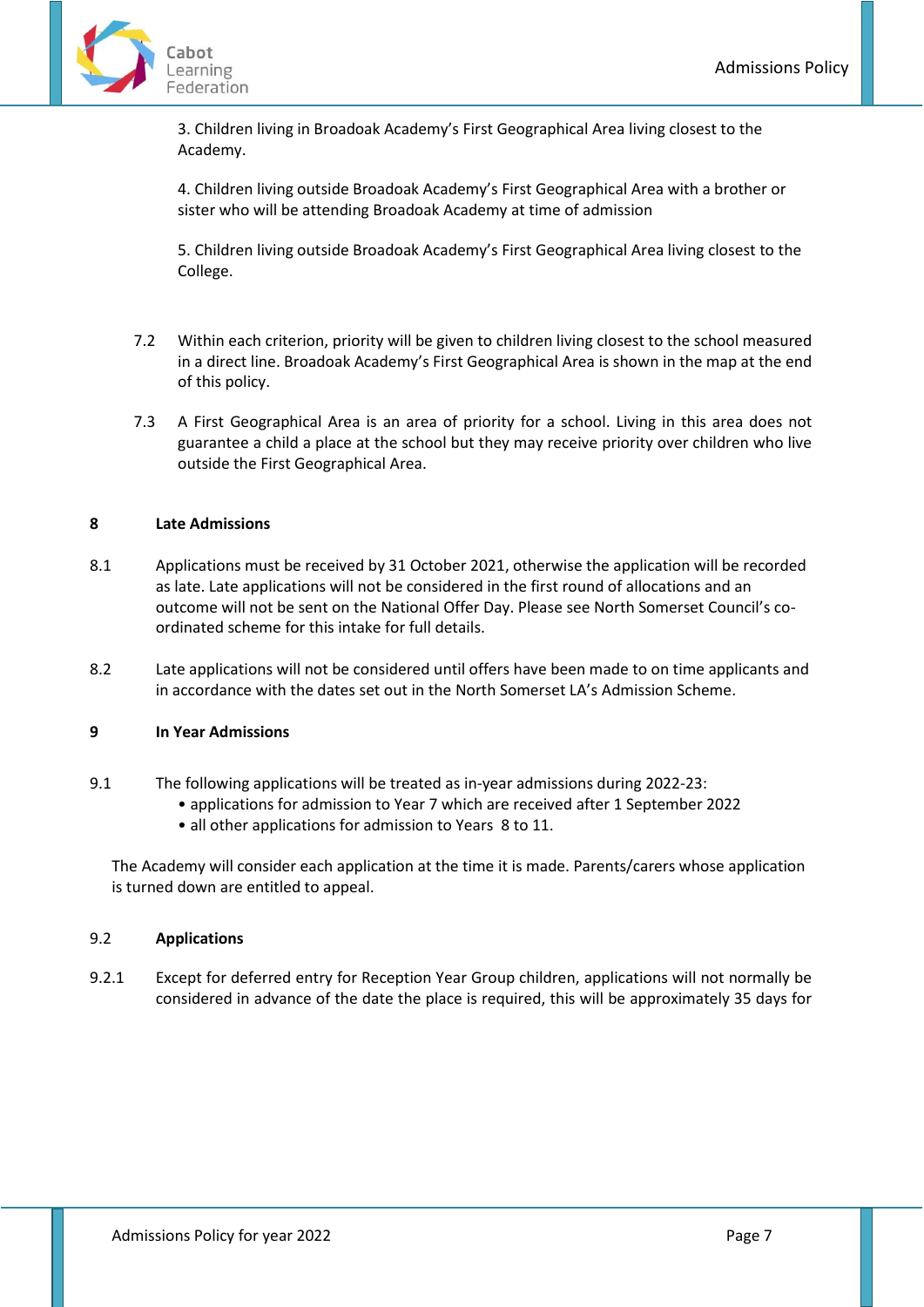

3. Children living in Broadoak Academy's First Geographical Area living closest to the Academy.

4. Children living outside Broadoak Academy's First Geographical Area with a brother or sister who will be attending Broadoak Academy at time of admission

5. Children living outside Broadoak Academy's First Geographical Area living closest to the College.

- 7.2 Within each criterion, priority will be given to children living closest to the school measured in a direct line. Broadoak Academy's First Geographical Area is shown in the map at the end of this policy.
- 7.3 A First Geographical Area is an area of priority for a school. Living in this area does not guarantee a child a place at the school but they may receive priority over children who live outside the First Geographical Area.

### <span id="page-6-0"></span>**8 Late Admissions**

- 8.1 Applications must be received by 31 October 2021, otherwise the application will be recorded as late. Late applications will not be considered in the first round of allocations and an outcome will not be sent on the National Offer Day. Please see North Somerset Council's coordinated scheme for this intake for full details.
- 8.2 Late applications will not be considered until offers have been made to on time applicants and in accordance with the dates set out in the North Somerset LA's Admission Scheme.

### <span id="page-6-1"></span>**9 In Year Admissions**

- 9.1 The following applications will be treated as in-year admissions during 2022-23:
	- applications for admission to Year 7 which are received after 1 September 2022
		- all other applications for admission to Years 8 to 11.

The Academy will consider each application at the time it is made. Parents/carers whose application is turned down are entitled to appeal.

### 9.2 **Applications**

9.2.1 Except for deferred entry for Reception Year Group children, applications will not normally be considered in advance of the date the place is required, this will be approximately 35 days for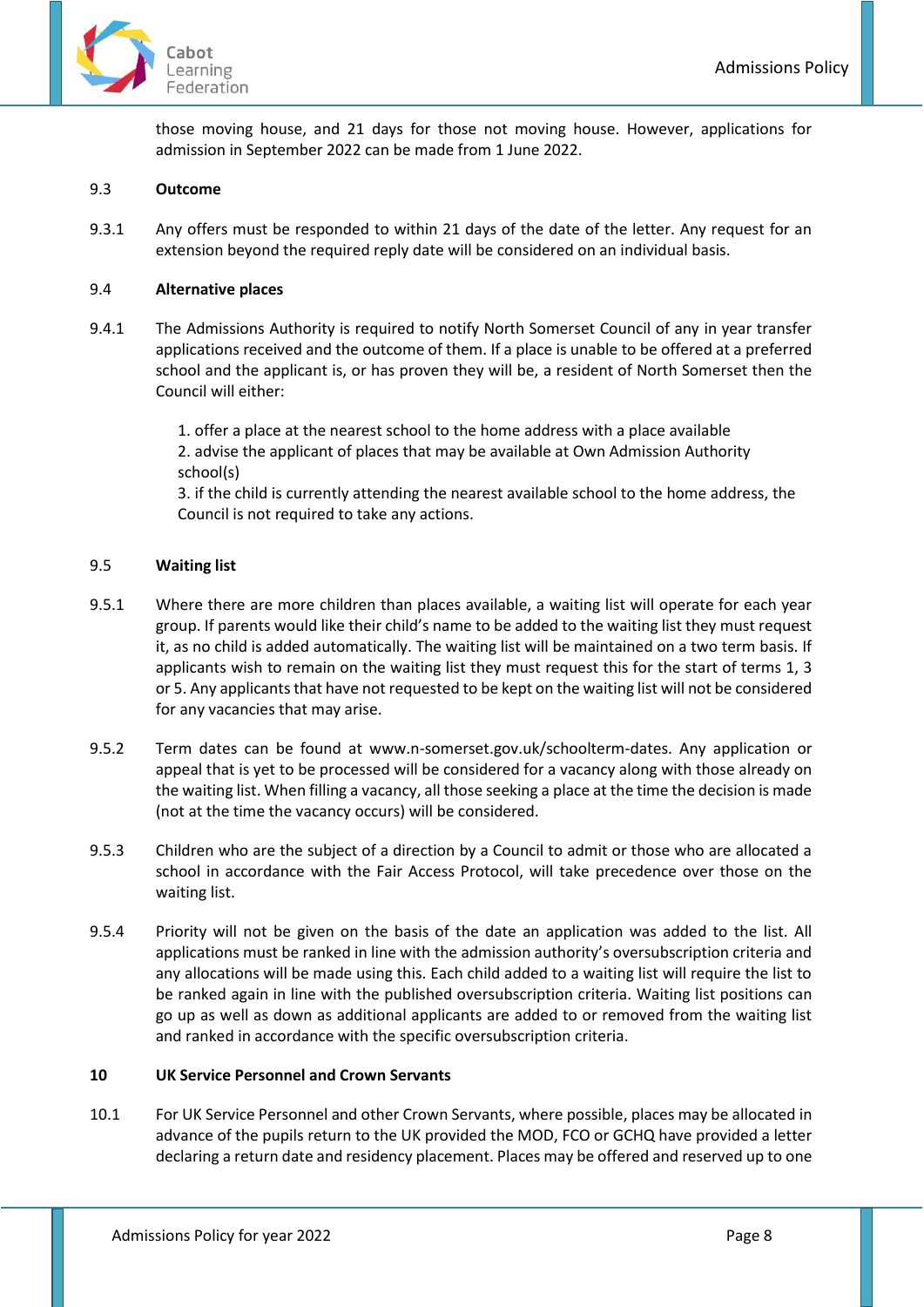

those moving house, and 21 days for those not moving house. However, applications for admission in September 2022 can be made from 1 June 2022.

#### 9.3 **Outcome**

9.3.1 Any offers must be responded to within 21 days of the date of the letter. Any request for an extension beyond the required reply date will be considered on an individual basis.

#### 9.4 **Alternative places**

9.4.1 The Admissions Authority is required to notify North Somerset Council of any in year transfer applications received and the outcome of them. If a place is unable to be offered at a preferred school and the applicant is, or has proven they will be, a resident of North Somerset then the Council will either:

> 1. offer a place at the nearest school to the home address with a place available 2. advise the applicant of places that may be available at Own Admission Authority school(s)

3. if the child is currently attending the nearest available school to the home address, the Council is not required to take any actions.

#### 9.5 **Waiting list**

- 9.5.1 Where there are more children than places available, a waiting list will operate for each year group. If parents would like their child's name to be added to the waiting list they must request it, as no child is added automatically. The waiting list will be maintained on a two term basis. If applicants wish to remain on the waiting list they must request this for the start of terms 1, 3 or 5. Any applicants that have not requested to be kept on the waiting list will not be considered for any vacancies that may arise.
- 9.5.2 Term dates can be found at www.n-somerset.gov.uk/schoolterm-dates. Any application or appeal that is yet to be processed will be considered for a vacancy along with those already on the waiting list. When filling a vacancy, all those seeking a place at the time the decision is made (not at the time the vacancy occurs) will be considered.
- 9.5.3 Children who are the subject of a direction by a Council to admit or those who are allocated a school in accordance with the Fair Access Protocol, will take precedence over those on the waiting list.
- 9.5.4 Priority will not be given on the basis of the date an application was added to the list. All applications must be ranked in line with the admission authority's oversubscription criteria and any allocations will be made using this. Each child added to a waiting list will require the list to be ranked again in line with the published oversubscription criteria. Waiting list positions can go up as well as down as additional applicants are added to or removed from the waiting list and ranked in accordance with the specific oversubscription criteria.

#### <span id="page-7-0"></span>**10 UK Service Personnel and Crown Servants**

10.1 For UK Service Personnel and other Crown Servants, where possible, places may be allocated in advance of the pupils return to the UK provided the MOD, FCO or GCHQ have provided a letter declaring a return date and residency placement. Places may be offered and reserved up to one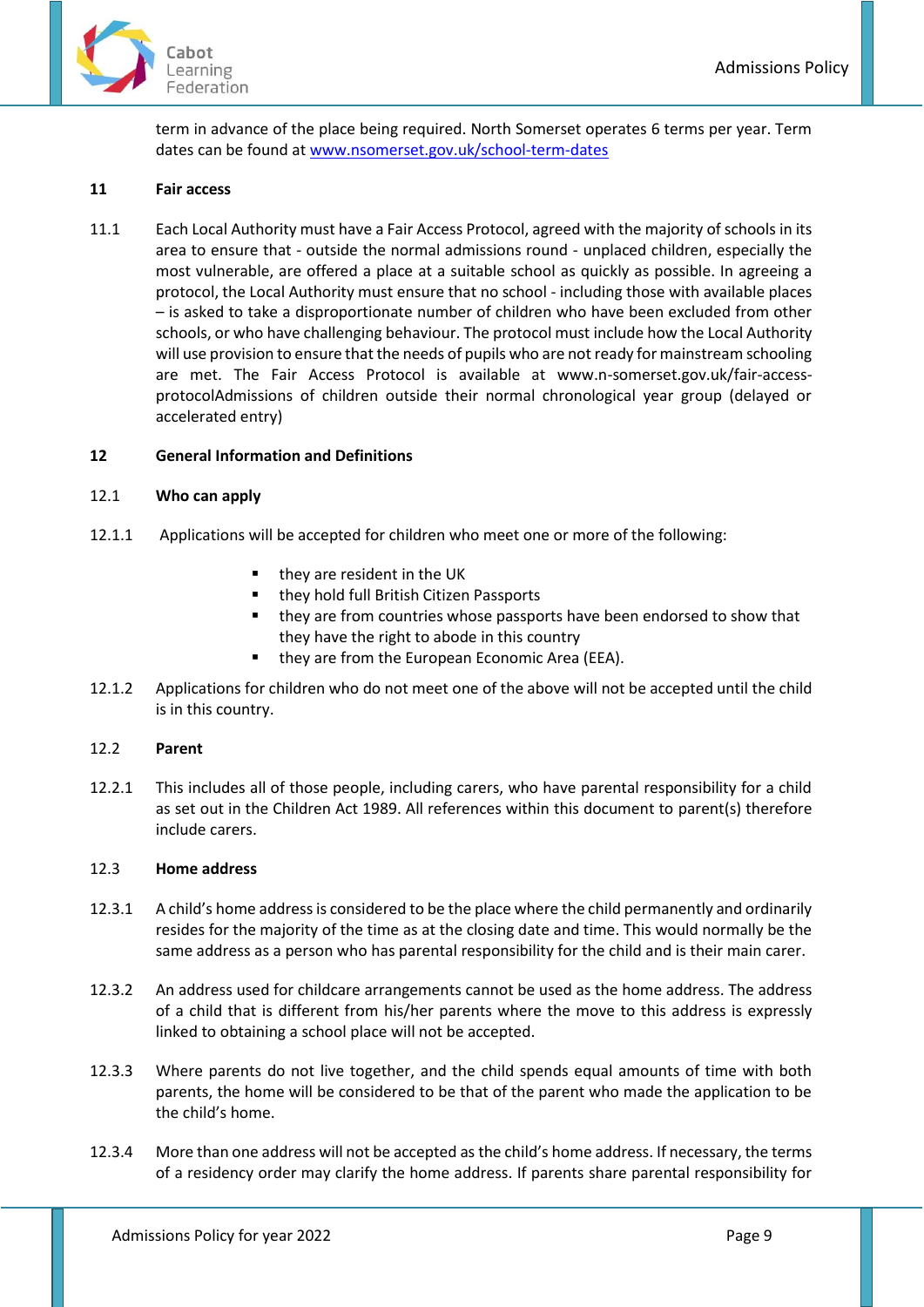

term in advance of the place being required. North Somerset operates 6 terms per year. Term dates can be found a[t www.nsomerset.gov.uk/school-term-dates](http://www.nsomerset.gov.uk/school-term-dates)

### <span id="page-8-0"></span>**11 Fair access**

11.1 Each Local Authority must have a Fair Access Protocol, agreed with the majority of schools in its area to ensure that - outside the normal admissions round - unplaced children, especially the most vulnerable, are offered a place at a suitable school as quickly as possible. In agreeing a protocol, the Local Authority must ensure that no school - including those with available places – is asked to take a disproportionate number of children who have been excluded from other schools, or who have challenging behaviour. The protocol must include how the Local Authority will use provision to ensure that the needs of pupils who are not ready for mainstream schooling are met. The Fair Access Protocol is available at www.n-somerset.gov.uk/fair-accessprotocolAdmissions of children outside their normal chronological year group (delayed or accelerated entry)

# <span id="page-8-1"></span>**12 General Information and Definitions**

### 12.1 **Who can apply**

- 12.1.1 Applications will be accepted for children who meet one or more of the following:
	- they are resident in the UK
	- they hold full British Citizen Passports
	- they are from countries whose passports have been endorsed to show that they have the right to abode in this country
	- they are from the European Economic Area (EEA).
- 12.1.2 Applications for children who do not meet one of the above will not be accepted until the child is in this country.

### 12.2 **Parent**

12.2.1 This includes all of those people, including carers, who have parental responsibility for a child as set out in the Children Act 1989. All references within this document to parent(s) therefore include carers.

### 12.3 **Home address**

- 12.3.1 A child's home address is considered to be the place where the child permanently and ordinarily resides for the majority of the time as at the closing date and time. This would normally be the same address as a person who has parental responsibility for the child and is their main carer.
- 12.3.2 An address used for childcare arrangements cannot be used as the home address. The address of a child that is different from his/her parents where the move to this address is expressly linked to obtaining a school place will not be accepted.
- 12.3.3 Where parents do not live together, and the child spends equal amounts of time with both parents, the home will be considered to be that of the parent who made the application to be the child's home.
- 12.3.4 More than one address will not be accepted as the child's home address. If necessary, the terms of a residency order may clarify the home address. If parents share parental responsibility for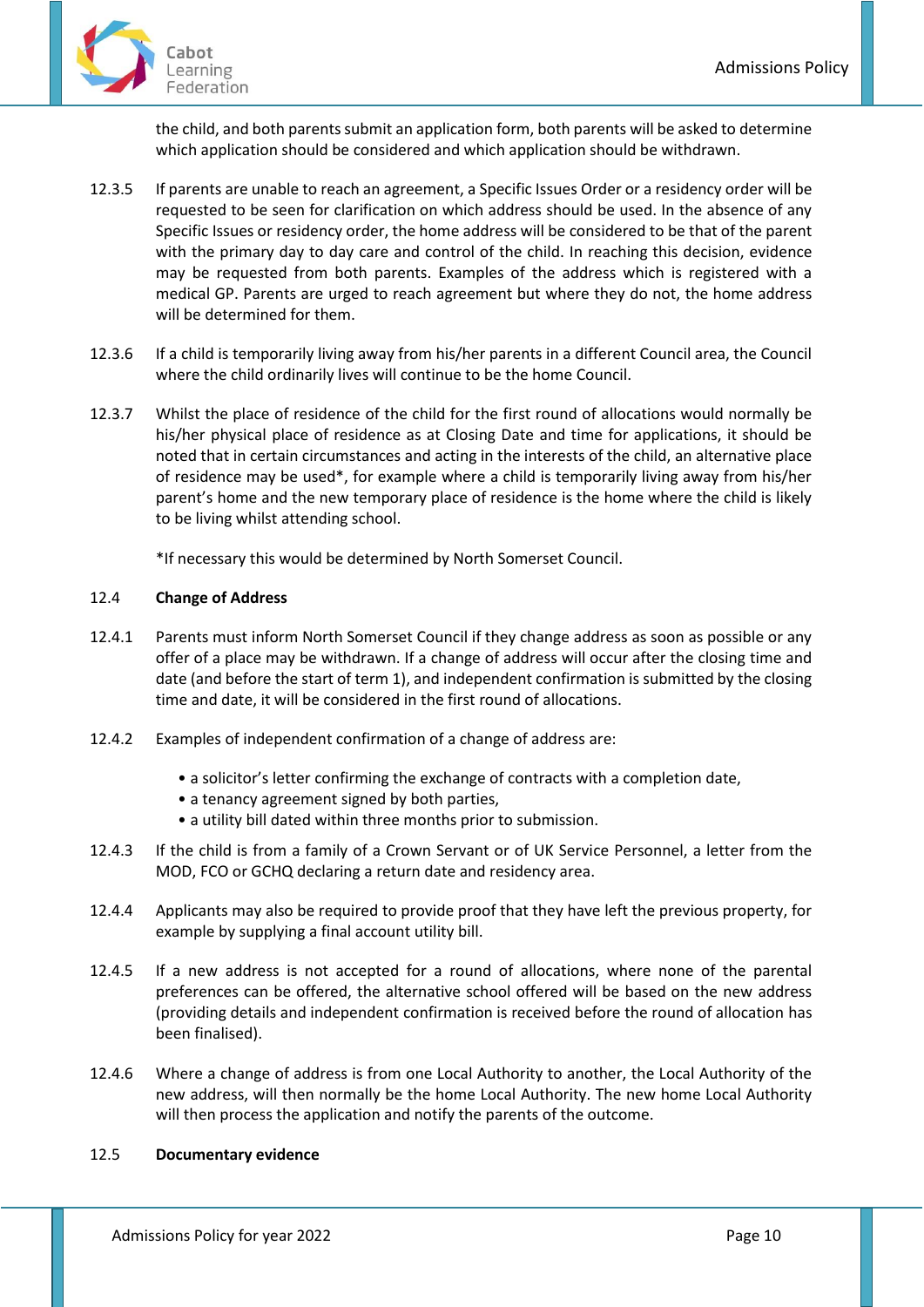

the child, and both parents submit an application form, both parents will be asked to determine which application should be considered and which application should be withdrawn.

- 12.3.5 If parents are unable to reach an agreement, a Specific Issues Order or a residency order will be requested to be seen for clarification on which address should be used. In the absence of any Specific Issues or residency order, the home address will be considered to be that of the parent with the primary day to day care and control of the child. In reaching this decision, evidence may be requested from both parents. Examples of the address which is registered with a medical GP. Parents are urged to reach agreement but where they do not, the home address will be determined for them.
- 12.3.6 If a child is temporarily living away from his/her parents in a different Council area, the Council where the child ordinarily lives will continue to be the home Council.
- 12.3.7 Whilst the place of residence of the child for the first round of allocations would normally be his/her physical place of residence as at Closing Date and time for applications, it should be noted that in certain circumstances and acting in the interests of the child, an alternative place of residence may be used\*, for example where a child is temporarily living away from his/her parent's home and the new temporary place of residence is the home where the child is likely to be living whilst attending school.

\*If necessary this would be determined by North Somerset Council.

# 12.4 **Change of Address**

- 12.4.1 Parents must inform North Somerset Council if they change address as soon as possible or any offer of a place may be withdrawn. If a change of address will occur after the closing time and date (and before the start of term 1), and independent confirmation is submitted by the closing time and date, it will be considered in the first round of allocations.
- 12.4.2 Examples of independent confirmation of a change of address are:
	- a solicitor's letter confirming the exchange of contracts with a completion date,
	- a tenancy agreement signed by both parties,
	- a utility bill dated within three months prior to submission.
- 12.4.3 If the child is from a family of a Crown Servant or of UK Service Personnel, a letter from the MOD, FCO or GCHQ declaring a return date and residency area.
- 12.4.4 Applicants may also be required to provide proof that they have left the previous property, for example by supplying a final account utility bill.
- 12.4.5 If a new address is not accepted for a round of allocations, where none of the parental preferences can be offered, the alternative school offered will be based on the new address (providing details and independent confirmation is received before the round of allocation has been finalised).
- 12.4.6 Where a change of address is from one Local Authority to another, the Local Authority of the new address, will then normally be the home Local Authority. The new home Local Authority will then process the application and notify the parents of the outcome.

### 12.5 **Documentary evidence**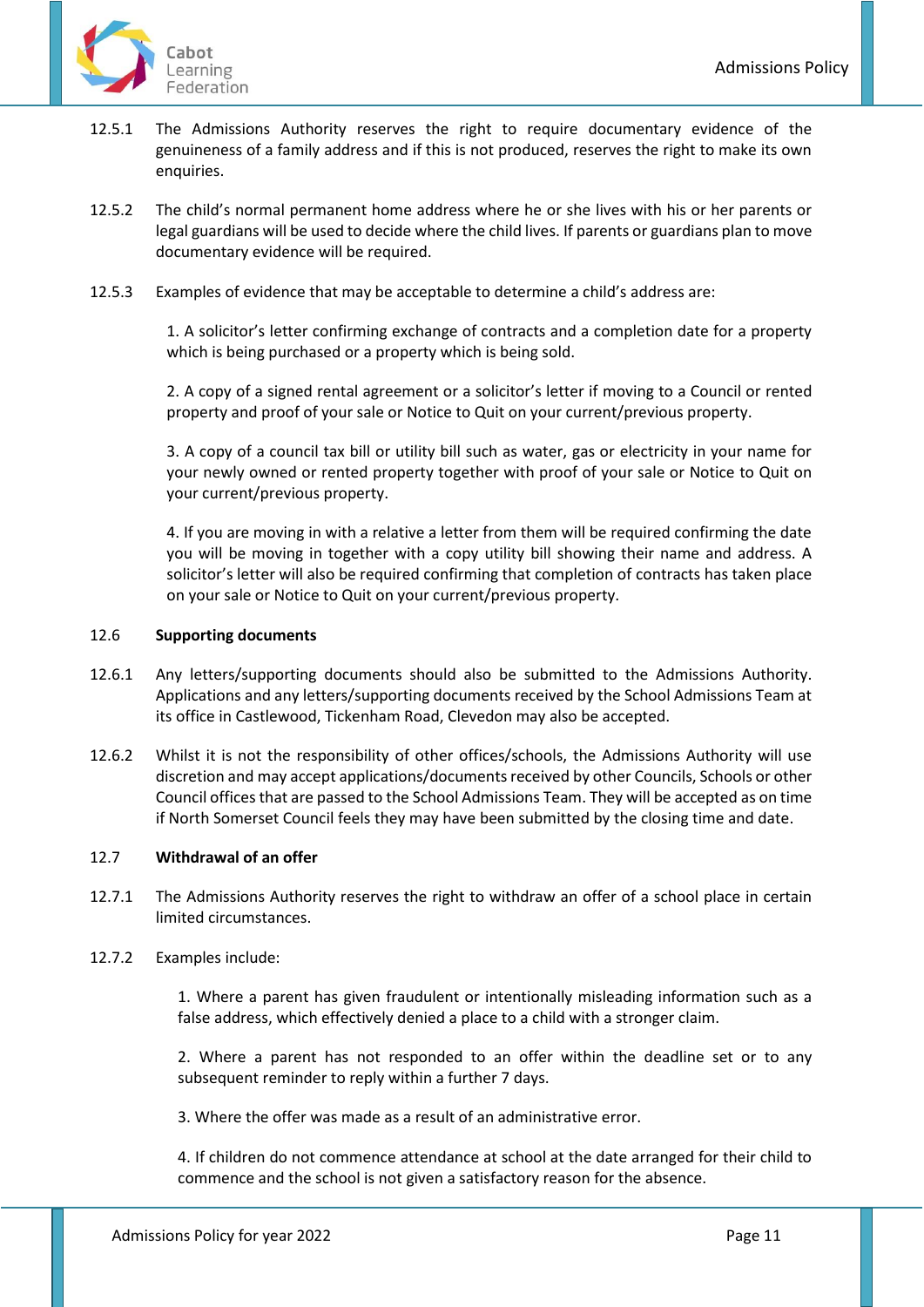- 12.5.1 The Admissions Authority reserves the right to require documentary evidence of the genuineness of a family address and if this is not produced, reserves the right to make its own enquiries.
- 12.5.2 The child's normal permanent home address where he or she lives with his or her parents or legal guardians will be used to decide where the child lives. If parents or guardians plan to move documentary evidence will be required.
- 12.5.3 Examples of evidence that may be acceptable to determine a child's address are:

1. A solicitor's letter confirming exchange of contracts and a completion date for a property which is being purchased or a property which is being sold.

2. A copy of a signed rental agreement or a solicitor's letter if moving to a Council or rented property and proof of your sale or Notice to Quit on your current/previous property.

3. A copy of a council tax bill or utility bill such as water, gas or electricity in your name for your newly owned or rented property together with proof of your sale or Notice to Quit on your current/previous property.

4. If you are moving in with a relative a letter from them will be required confirming the date you will be moving in together with a copy utility bill showing their name and address. A solicitor's letter will also be required confirming that completion of contracts has taken place on your sale or Notice to Quit on your current/previous property.

### 12.6 **Supporting documents**

- 12.6.1 Any letters/supporting documents should also be submitted to the Admissions Authority. Applications and any letters/supporting documents received by the School Admissions Team at its office in Castlewood, Tickenham Road, Clevedon may also be accepted.
- 12.6.2 Whilst it is not the responsibility of other offices/schools, the Admissions Authority will use discretion and may accept applications/documents received by other Councils, Schools or other Council offices that are passed to the School Admissions Team. They will be accepted as on time if North Somerset Council feels they may have been submitted by the closing time and date.

### 12.7 **Withdrawal of an offer**

12.7.1 The Admissions Authority reserves the right to withdraw an offer of a school place in certain limited circumstances.

### 12.7.2 Examples include:

1. Where a parent has given fraudulent or intentionally misleading information such as a false address, which effectively denied a place to a child with a stronger claim.

2. Where a parent has not responded to an offer within the deadline set or to any subsequent reminder to reply within a further 7 days.

3. Where the offer was made as a result of an administrative error.

4. If children do not commence attendance at school at the date arranged for their child to commence and the school is not given a satisfactory reason for the absence.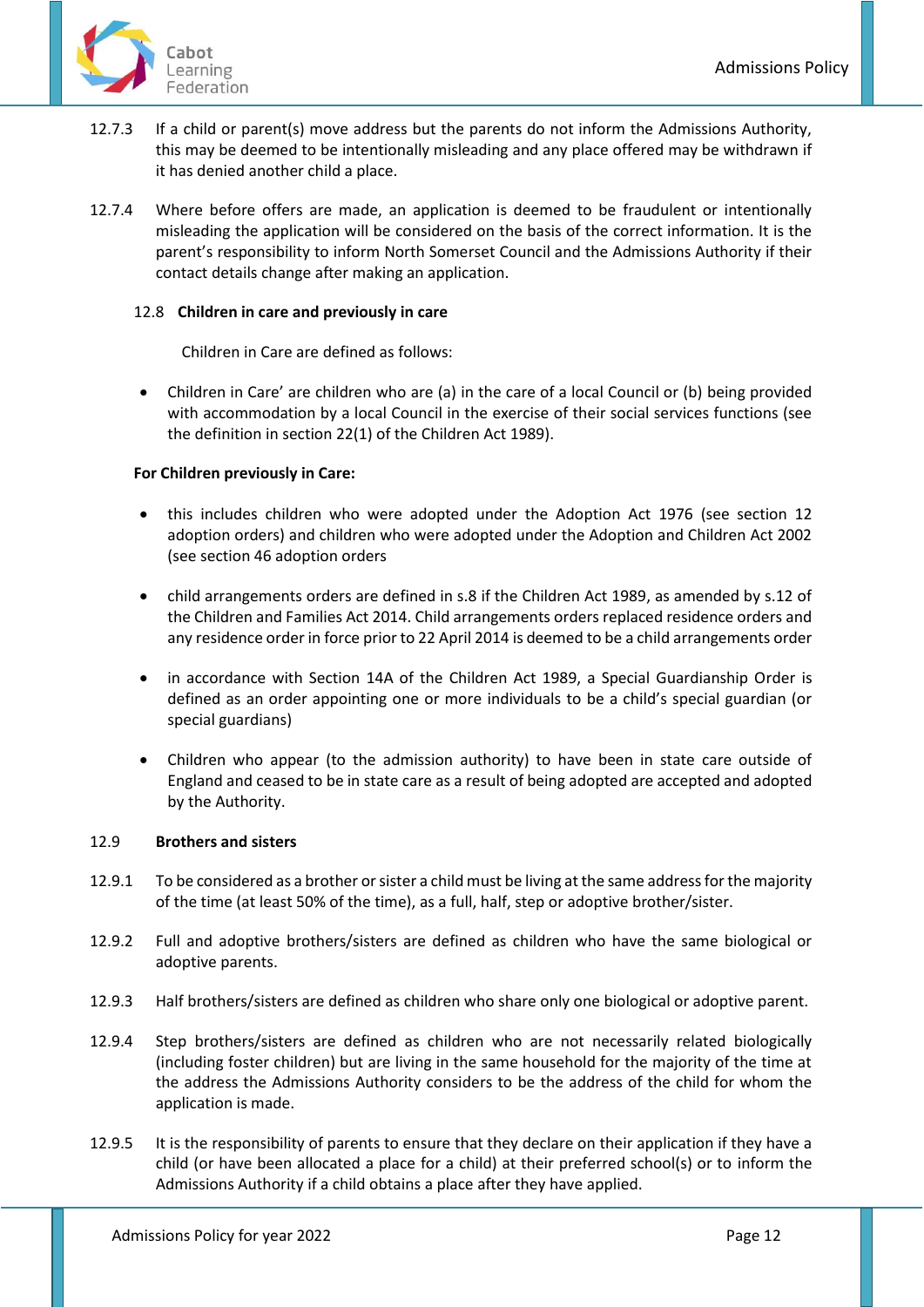

- 12.7.3 If a child or parent(s) move address but the parents do not inform the Admissions Authority, this may be deemed to be intentionally misleading and any place offered may be withdrawn if it has denied another child a place.
- 12.7.4 Where before offers are made, an application is deemed to be fraudulent or intentionally misleading the application will be considered on the basis of the correct information. It is the parent's responsibility to inform North Somerset Council and the Admissions Authority if their contact details change after making an application.

# 12.8 **Children in care and previously in care**

Children in Care are defined as follows:

• Children in Care' are children who are (a) in the care of a local Council or (b) being provided with accommodation by a local Council in the exercise of their social services functions (see the definition in section 22(1) of the Children Act 1989).

# **For Children previously in Care:**

- this includes children who were adopted under the Adoption Act 1976 (see section 12 adoption orders) and children who were adopted under the Adoption and Children Act 2002 (see section 46 adoption orders
- child arrangements orders are defined in s.8 if the Children Act 1989, as amended by s.12 of the Children and Families Act 2014. Child arrangements orders replaced residence orders and any residence order in force prior to 22 April 2014 is deemed to be a child arrangements order
- in accordance with Section 14A of the Children Act 1989, a Special Guardianship Order is defined as an order appointing one or more individuals to be a child's special guardian (or special guardians)
- Children who appear (to the admission authority) to have been in state care outside of England and ceased to be in state care as a result of being adopted are accepted and adopted by the Authority.

### 12.9 **Brothers and sisters**

- 12.9.1 To be considered as a brother or sister a child must be living at the same address for the majority of the time (at least 50% of the time), as a full, half, step or adoptive brother/sister.
- 12.9.2 Full and adoptive brothers/sisters are defined as children who have the same biological or adoptive parents.
- 12.9.3 Half brothers/sisters are defined as children who share only one biological or adoptive parent.
- 12.9.4 Step brothers/sisters are defined as children who are not necessarily related biologically (including foster children) but are living in the same household for the majority of the time at the address the Admissions Authority considers to be the address of the child for whom the application is made.
- 12.9.5 It is the responsibility of parents to ensure that they declare on their application if they have a child (or have been allocated a place for a child) at their preferred school(s) or to inform the Admissions Authority if a child obtains a place after they have applied.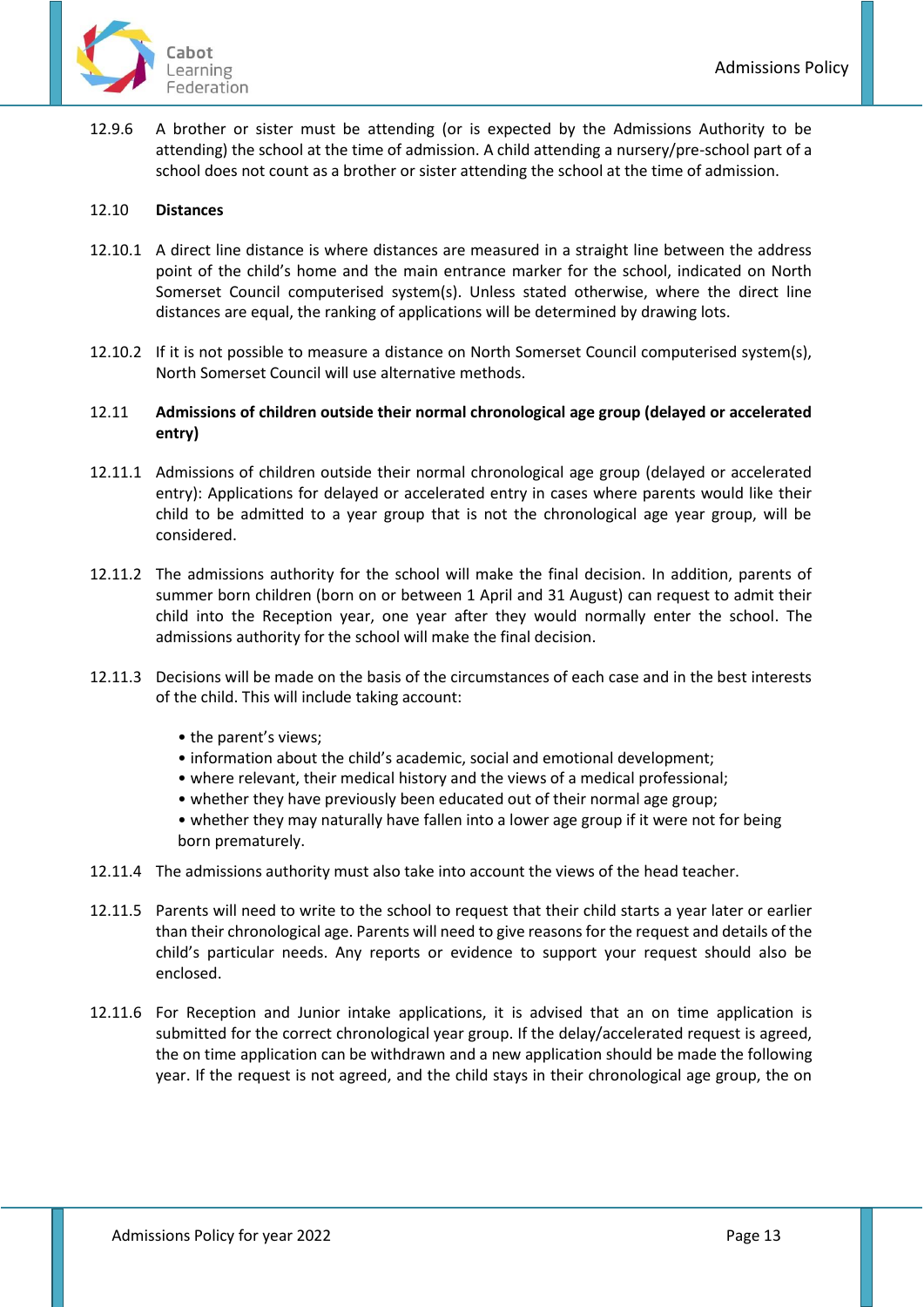

12.9.6 A brother or sister must be attending (or is expected by the Admissions Authority to be attending) the school at the time of admission. A child attending a nursery/pre-school part of a school does not count as a brother or sister attending the school at the time of admission.

#### 12.10 **Distances**

- 12.10.1 A direct line distance is where distances are measured in a straight line between the address point of the child's home and the main entrance marker for the school, indicated on North Somerset Council computerised system(s). Unless stated otherwise, where the direct line distances are equal, the ranking of applications will be determined by drawing lots.
- 12.10.2 If it is not possible to measure a distance on North Somerset Council computerised system(s), North Somerset Council will use alternative methods.
- 12.11 **Admissions of children outside their normal chronological age group (delayed or accelerated entry)**
- 12.11.1 Admissions of children outside their normal chronological age group (delayed or accelerated entry): Applications for delayed or accelerated entry in cases where parents would like their child to be admitted to a year group that is not the chronological age year group, will be considered.
- 12.11.2 The admissions authority for the school will make the final decision. In addition, parents of summer born children (born on or between 1 April and 31 August) can request to admit their child into the Reception year, one year after they would normally enter the school. The admissions authority for the school will make the final decision.
- 12.11.3 Decisions will be made on the basis of the circumstances of each case and in the best interests of the child. This will include taking account:
	- the parent's views;
	- information about the child's academic, social and emotional development;
	- where relevant, their medical history and the views of a medical professional;
	- whether they have previously been educated out of their normal age group;
	- whether they may naturally have fallen into a lower age group if it were not for being born prematurely.
- 12.11.4 The admissions authority must also take into account the views of the head teacher.
- 12.11.5 Parents will need to write to the school to request that their child starts a year later or earlier than their chronological age. Parents will need to give reasons for the request and details of the child's particular needs. Any reports or evidence to support your request should also be enclosed.
- 12.11.6 For Reception and Junior intake applications, it is advised that an on time application is submitted for the correct chronological year group. If the delay/accelerated request is agreed, the on time application can be withdrawn and a new application should be made the following year. If the request is not agreed, and the child stays in their chronological age group, the on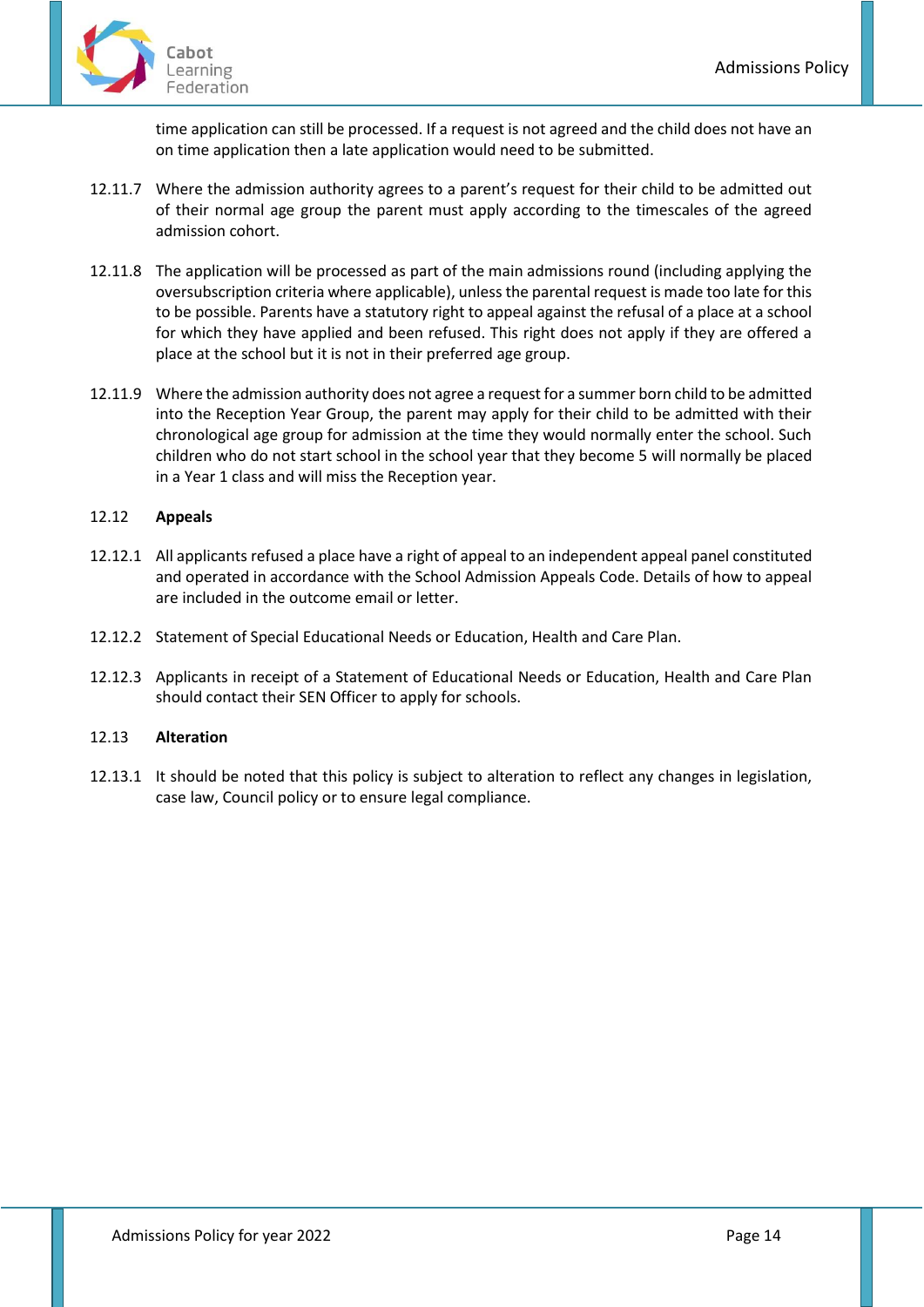

time application can still be processed. If a request is not agreed and the child does not have an on time application then a late application would need to be submitted.

- 12.11.7 Where the admission authority agrees to a parent's request for their child to be admitted out of their normal age group the parent must apply according to the timescales of the agreed admission cohort.
- 12.11.8 The application will be processed as part of the main admissions round (including applying the oversubscription criteria where applicable), unless the parental request is made too late for this to be possible. Parents have a statutory right to appeal against the refusal of a place at a school for which they have applied and been refused. This right does not apply if they are offered a place at the school but it is not in their preferred age group.
- 12.11.9 Where the admission authority does not agree a request for a summer born child to be admitted into the Reception Year Group, the parent may apply for their child to be admitted with their chronological age group for admission at the time they would normally enter the school. Such children who do not start school in the school year that they become 5 will normally be placed in a Year 1 class and will miss the Reception year.

# 12.12 **Appeals**

- 12.12.1 All applicants refused a place have a right of appeal to an independent appeal panel constituted and operated in accordance with the School Admission Appeals Code. Details of how to appeal are included in the outcome email or letter.
- 12.12.2 Statement of Special Educational Needs or Education, Health and Care Plan.
- 12.12.3 Applicants in receipt of a Statement of Educational Needs or Education, Health and Care Plan should contact their SEN Officer to apply for schools.

### 12.13 **Alteration**

12.13.1 It should be noted that this policy is subject to alteration to reflect any changes in legislation, case law, Council policy or to ensure legal compliance.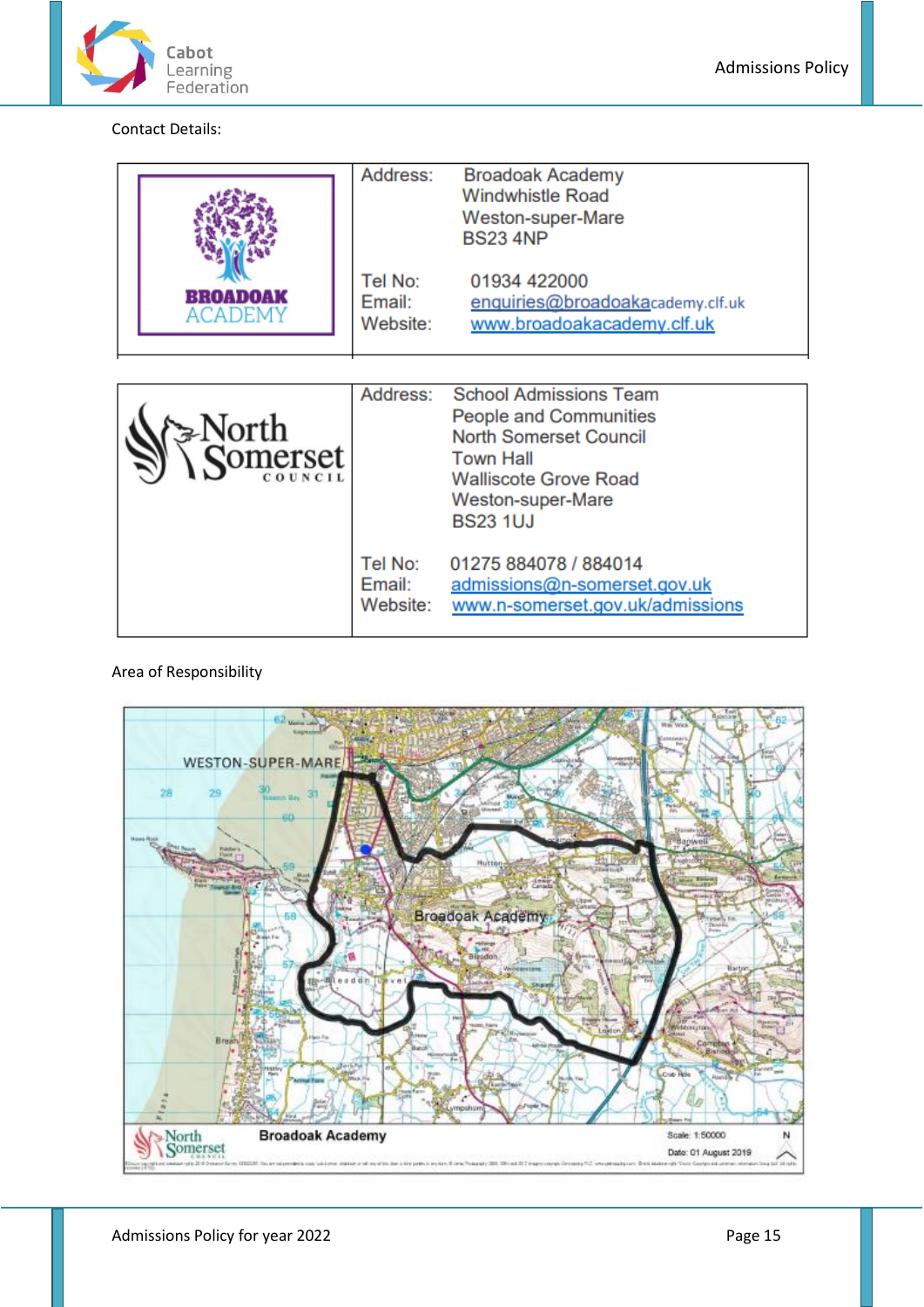

Contact Details:

| BROADOAK<br>academy                  | Address:<br>Tel No:<br>Email:<br>Website: | <b>Broadoak Academy</b><br><b>Windwhistle Road</b><br>Weston-super-Mare<br><b>BS23 4NP</b><br>01934 422000<br>enquiries@broadoakacademy.clf.uk<br>www.broadoakacademy.clf.uk                |
|--------------------------------------|-------------------------------------------|---------------------------------------------------------------------------------------------------------------------------------------------------------------------------------------------|
| North-<br><b>Comerset</b><br>COUNCIL | Address:                                  | <b>School Admissions Team</b><br><b>People and Communities</b><br><b>North Somerset Council</b><br><b>Town Hall</b><br><b>Walliscote Grove Road</b><br>Weston-super-Mare<br><b>BS23 1UJ</b> |
|                                      | Tel No:<br>Email:<br>Website:             | 01275 884078 / 884014<br>admissions@n-somerset.gov.uk<br>www.n-somerset.gov.uk/admissions                                                                                                   |

# Area of Responsibility